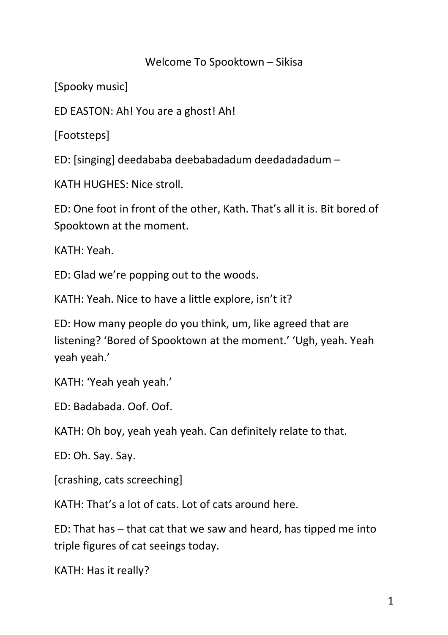## Welcome To Spooktown – Sikisa

[Spooky music]

ED EASTON: Ah! You are a ghost! Ah!

[Footsteps]

ED: [singing] deedababa deebabadadum deedadadadum –

KATH HUGHES: Nice stroll.

ED: One foot in front of the other, Kath. That's all it is. Bit bored of Spooktown at the moment.

KATH: Yeah.

ED: Glad we're popping out to the woods.

KATH: Yeah. Nice to have a little explore, isn't it?

ED: How many people do you think, um, like agreed that are listening? 'Bored of Spooktown at the moment.' 'Ugh, yeah. Yeah yeah yeah.'

KATH: 'Yeah yeah yeah.'

ED: Badabada. Oof. Oof.

KATH: Oh boy, yeah yeah yeah. Can definitely relate to that.

ED: Oh. Say. Say.

[crashing, cats screeching]

KATH: That's a lot of cats. Lot of cats around here.

ED: That has – that cat that we saw and heard, has tipped me into triple figures of cat seeings today.

KATH: Has it really?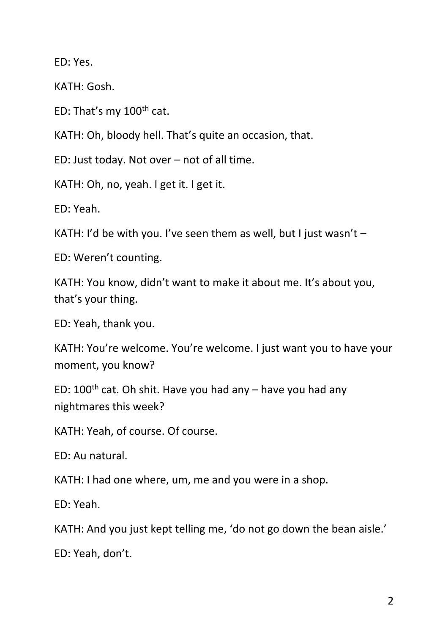ED: Yes.

KATH: Gosh.

ED: That's my 100th cat.

KATH: Oh, bloody hell. That's quite an occasion, that.

ED: Just today. Not over – not of all time.

KATH: Oh, no, yeah. I get it. I get it.

ED: Yeah.

KATH: I'd be with you. I've seen them as well, but I just wasn't –

ED: Weren't counting.

KATH: You know, didn't want to make it about me. It's about you, that's your thing.

ED: Yeah, thank you.

KATH: You're welcome. You're welcome. I just want you to have your moment, you know?

ED:  $100<sup>th</sup>$  cat. Oh shit. Have you had any – have you had any nightmares this week?

KATH: Yeah, of course. Of course.

ED: Au natural.

KATH: I had one where, um, me and you were in a shop.

ED: Yeah.

KATH: And you just kept telling me, 'do not go down the bean aisle.'

ED: Yeah, don't.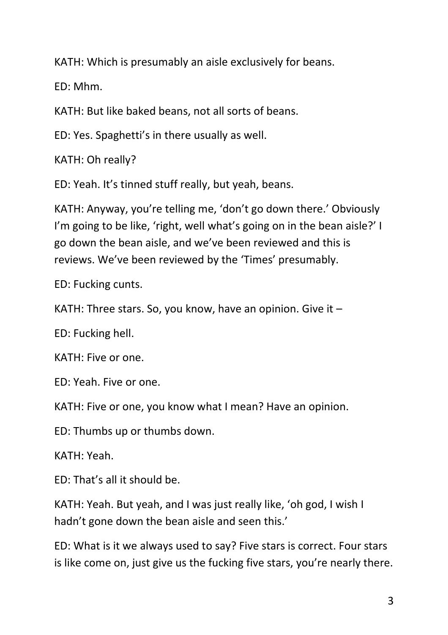KATH: Which is presumably an aisle exclusively for beans.

ED: Mhm.

KATH: But like baked beans, not all sorts of beans.

ED: Yes. Spaghetti's in there usually as well.

KATH: Oh really?

ED: Yeah. It's tinned stuff really, but yeah, beans.

KATH: Anyway, you're telling me, 'don't go down there.' Obviously I'm going to be like, 'right, well what's going on in the bean aisle?' I go down the bean aisle, and we've been reviewed and this is reviews. We've been reviewed by the 'Times' presumably.

ED: Fucking cunts.

KATH: Three stars. So, you know, have an opinion. Give it –

ED: Fucking hell.

KATH: Five or one.

ED: Yeah. Five or one.

KATH: Five or one, you know what I mean? Have an opinion.

ED: Thumbs up or thumbs down.

KATH: Yeah.

ED: That's all it should be.

KATH: Yeah. But yeah, and I was just really like, 'oh god, I wish I hadn't gone down the bean aisle and seen this.'

ED: What is it we always used to say? Five stars is correct. Four stars is like come on, just give us the fucking five stars, you're nearly there.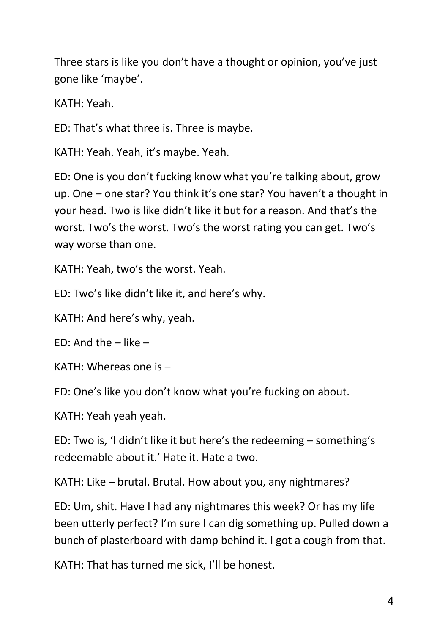Three stars is like you don't have a thought or opinion, you've just gone like 'maybe'.

KATH: Yeah.

ED: That's what three is. Three is maybe.

KATH: Yeah. Yeah, it's maybe. Yeah.

ED: One is you don't fucking know what you're talking about, grow up. One – one star? You think it's one star? You haven't a thought in your head. Two is like didn't like it but for a reason. And that's the worst. Two's the worst. Two's the worst rating you can get. Two's way worse than one.

KATH: Yeah, two's the worst. Yeah.

ED: Two's like didn't like it, and here's why.

KATH: And here's why, yeah.

ED: And the – like –

KATH: Whereas one is –

ED: One's like you don't know what you're fucking on about.

KATH: Yeah yeah yeah.

ED: Two is, 'I didn't like it but here's the redeeming – something's redeemable about it.' Hate it. Hate a two.

KATH: Like – brutal. Brutal. How about you, any nightmares?

ED: Um, shit. Have I had any nightmares this week? Or has my life been utterly perfect? I'm sure I can dig something up. Pulled down a bunch of plasterboard with damp behind it. I got a cough from that.

KATH: That has turned me sick, I'll be honest.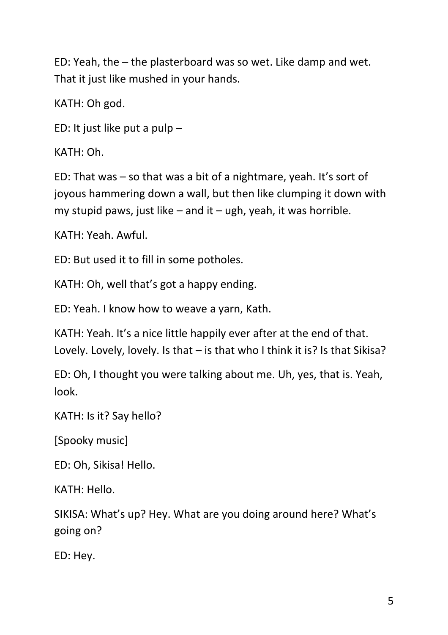ED: Yeah, the – the plasterboard was so wet. Like damp and wet. That it just like mushed in your hands.

KATH: Oh god.

ED: It just like put a pulp –

KATH: Oh.

ED: That was – so that was a bit of a nightmare, yeah. It's sort of joyous hammering down a wall, but then like clumping it down with my stupid paws, just like – and it – ugh, yeah, it was horrible.

KATH: Yeah. Awful.

ED: But used it to fill in some potholes.

KATH: Oh, well that's got a happy ending.

ED: Yeah. I know how to weave a yarn, Kath.

KATH: Yeah. It's a nice little happily ever after at the end of that. Lovely. Lovely, lovely. Is that – is that who I think it is? Is that Sikisa?

ED: Oh, I thought you were talking about me. Uh, yes, that is. Yeah, look.

KATH: Is it? Say hello?

[Spooky music]

ED: Oh, Sikisa! Hello.

KATH: Hello.

SIKISA: What's up? Hey. What are you doing around here? What's going on?

ED: Hey.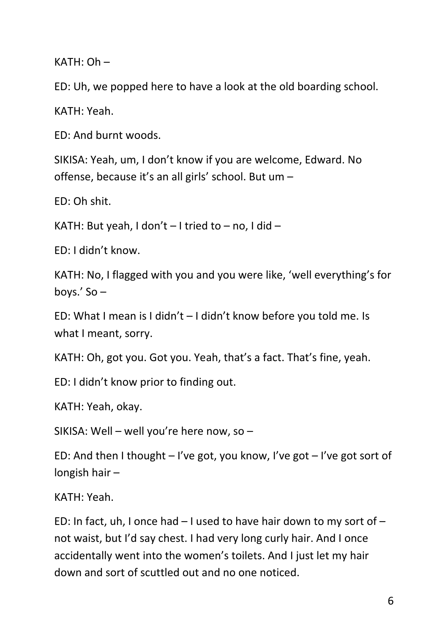$KATH: Oh -$ 

ED: Uh, we popped here to have a look at the old boarding school.

KATH: Yeah.

ED: And burnt woods.

SIKISA: Yeah, um, I don't know if you are welcome, Edward. No offense, because it's an all girls' school. But um –

ED: Oh shit.

KATH: But yeah, I don't  $-$  I tried to  $-$  no, I did  $-$ 

ED: I didn't know.

KATH: No, I flagged with you and you were like, 'well everything's for boys.' So –

ED: What I mean is I didn't – I didn't know before you told me. Is what I meant, sorry.

KATH: Oh, got you. Got you. Yeah, that's a fact. That's fine, yeah.

ED: I didn't know prior to finding out.

KATH: Yeah, okay.

SIKISA: Well – well you're here now, so –

ED: And then I thought  $-1$ 've got, you know, I've got  $-1$ 've got sort of longish hair –

KATH: Yeah.

ED: In fact, uh, I once had  $-1$  used to have hair down to my sort of  $$ not waist, but I'd say chest. I had very long curly hair. And I once accidentally went into the women's toilets. And I just let my hair down and sort of scuttled out and no one noticed.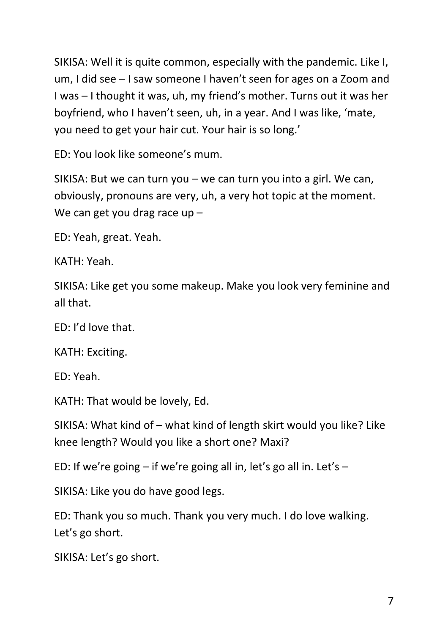SIKISA: Well it is quite common, especially with the pandemic. Like I, um, I did see – I saw someone I haven't seen for ages on a Zoom and I was – I thought it was, uh, my friend's mother. Turns out it was her boyfriend, who I haven't seen, uh, in a year. And I was like, 'mate, you need to get your hair cut. Your hair is so long.'

ED: You look like someone's mum.

SIKISA: But we can turn you – we can turn you into a girl. We can, obviously, pronouns are very, uh, a very hot topic at the moment. We can get you drag race up -

ED: Yeah, great. Yeah.

KATH: Yeah.

SIKISA: Like get you some makeup. Make you look very feminine and all that.

ED: I'd love that.

KATH: Exciting.

ED: Yeah.

KATH: That would be lovely, Ed.

SIKISA: What kind of – what kind of length skirt would you like? Like knee length? Would you like a short one? Maxi?

ED: If we're going  $-$  if we're going all in, let's go all in, Let's  $-$ 

SIKISA: Like you do have good legs.

ED: Thank you so much. Thank you very much. I do love walking. Let's go short.

SIKISA: Let's go short.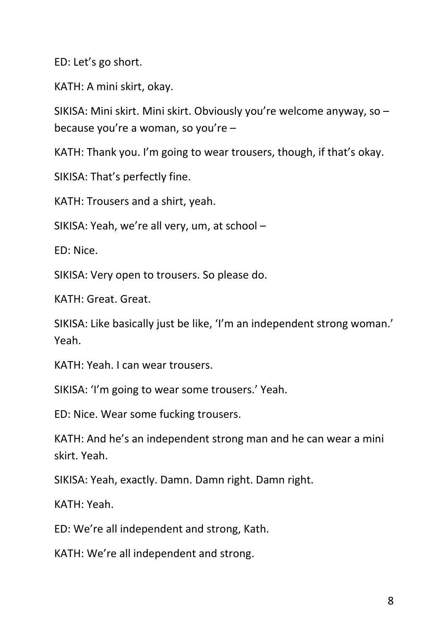ED: Let's go short.

KATH: A mini skirt, okay.

SIKISA: Mini skirt. Mini skirt. Obviously you're welcome anyway, so – because you're a woman, so you're –

KATH: Thank you. I'm going to wear trousers, though, if that's okay.

SIKISA: That's perfectly fine.

KATH: Trousers and a shirt, yeah.

SIKISA: Yeah, we're all very, um, at school –

ED: Nice.

SIKISA: Very open to trousers. So please do.

KATH: Great. Great.

SIKISA: Like basically just be like, 'I'm an independent strong woman.' Yeah.

KATH: Yeah. I can wear trousers.

SIKISA: 'I'm going to wear some trousers.' Yeah.

ED: Nice. Wear some fucking trousers.

KATH: And he's an independent strong man and he can wear a mini skirt. Yeah.

SIKISA: Yeah, exactly. Damn. Damn right. Damn right.

KATH: Yeah.

ED: We're all independent and strong, Kath.

KATH: We're all independent and strong.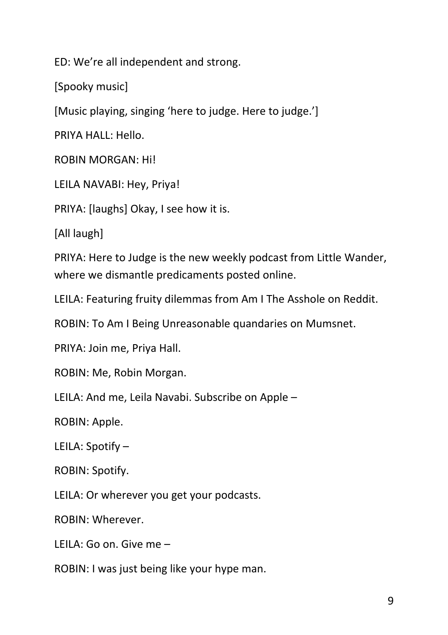ED: We're all independent and strong.

[Spooky music]

[Music playing, singing 'here to judge. Here to judge.']

PRIYA HALL: Hello.

ROBIN MORGAN: Hi!

LEILA NAVABI: Hey, Priya!

PRIYA: [laughs] Okay, I see how it is.

[All laugh]

PRIYA: Here to Judge is the new weekly podcast from Little Wander, where we dismantle predicaments posted online.

LEILA: Featuring fruity dilemmas from Am I The Asshole on Reddit.

ROBIN: To Am I Being Unreasonable quandaries on Mumsnet.

PRIYA: Join me, Priya Hall.

ROBIN: Me, Robin Morgan.

LEILA: And me, Leila Navabi. Subscribe on Apple –

ROBIN: Apple.

LEILA: Spotify –

ROBIN: Spotify.

LEILA: Or wherever you get your podcasts.

ROBIN: Wherever.

LEILA: Go on. Give me –

ROBIN: I was just being like your hype man.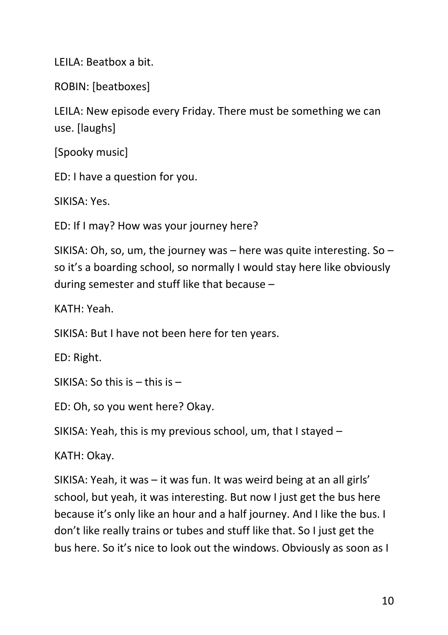LEILA: Beatbox a bit.

ROBIN: [beatboxes]

LEILA: New episode every Friday. There must be something we can use. [laughs]

[Spooky music]

ED: I have a question for you.

SIKISA: Yes.

ED: If I may? How was your journey here?

SIKISA: Oh, so, um, the journey was  $-$  here was quite interesting. So  $$ so it's a boarding school, so normally I would stay here like obviously during semester and stuff like that because –

KATH: Yeah.

SIKISA: But I have not been here for ten years.

ED: Right.

SIKISA: So this is – this is –

ED: Oh, so you went here? Okay.

SIKISA: Yeah, this is my previous school, um, that I stayed –

KATH: Okay.

SIKISA: Yeah, it was – it was fun. It was weird being at an all girls' school, but yeah, it was interesting. But now I just get the bus here because it's only like an hour and a half journey. And I like the bus. I don't like really trains or tubes and stuff like that. So I just get the bus here. So it's nice to look out the windows. Obviously as soon as I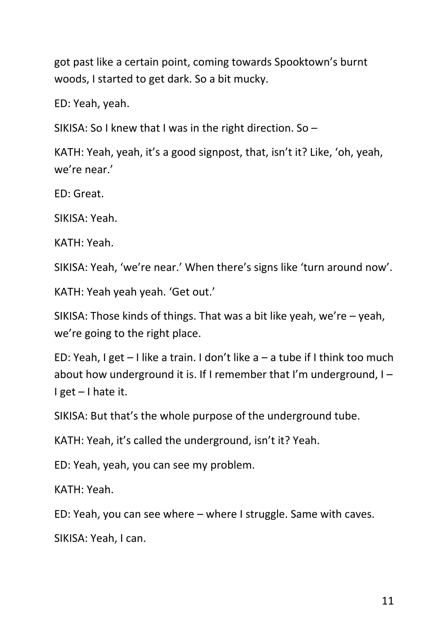got past like a certain point, coming towards Spooktown's burnt woods, I started to get dark. So a bit mucky.

ED: Yeah, yeah.

SIKISA: So I knew that I was in the right direction. So –

KATH: Yeah, yeah, it's a good signpost, that, isn't it? Like, 'oh, yeah, we're near.'

ED: Great.

SIKISA: Yeah.

KATH: Yeah.

SIKISA: Yeah, 'we're near.' When there's signs like 'turn around now'.

KATH: Yeah yeah yeah. 'Get out.'

SIKISA: Those kinds of things. That was a bit like yeah, we're – yeah, we're going to the right place.

ED: Yeah, I get  $-1$  like a train. I don't like a  $-$  a tube if I think too much about how underground it is. If I remember that I'm underground, I – I get – I hate it.

SIKISA: But that's the whole purpose of the underground tube.

KATH: Yeah, it's called the underground, isn't it? Yeah.

ED: Yeah, yeah, you can see my problem.

KATH: Yeah.

ED: Yeah, you can see where – where I struggle. Same with caves.

SIKISA: Yeah, I can.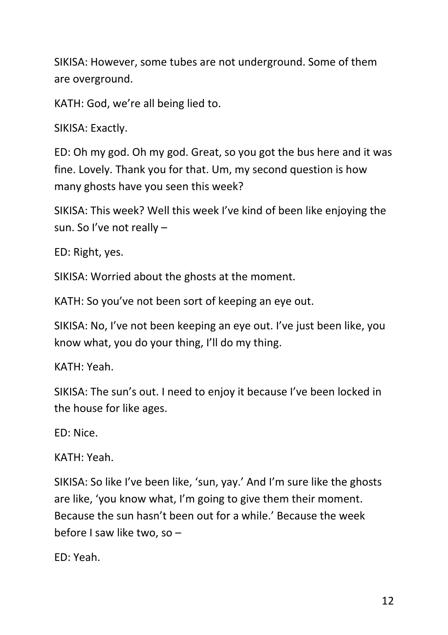SIKISA: However, some tubes are not underground. Some of them are overground.

KATH: God, we're all being lied to.

SIKISA: Exactly.

ED: Oh my god. Oh my god. Great, so you got the bus here and it was fine. Lovely. Thank you for that. Um, my second question is how many ghosts have you seen this week?

SIKISA: This week? Well this week I've kind of been like enjoying the sun. So I've not really –

ED: Right, yes.

SIKISA: Worried about the ghosts at the moment.

KATH: So you've not been sort of keeping an eye out.

SIKISA: No, I've not been keeping an eye out. I've just been like, you know what, you do your thing, I'll do my thing.

KATH: Yeah.

SIKISA: The sun's out. I need to enjoy it because I've been locked in the house for like ages.

ED: Nice.

KATH: Yeah.

SIKISA: So like I've been like, 'sun, yay.' And I'm sure like the ghosts are like, 'you know what, I'm going to give them their moment. Because the sun hasn't been out for a while.' Because the week before I saw like two, so –

ED: Yeah.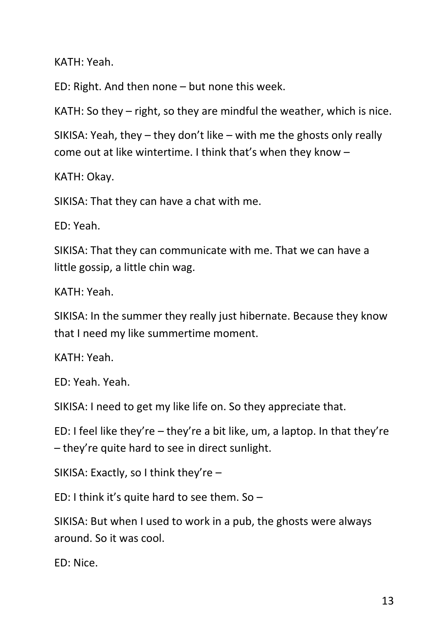KATH: Yeah.

ED: Right. And then none – but none this week.

KATH: So they – right, so they are mindful the weather, which is nice.

SIKISA: Yeah, they – they don't like – with me the ghosts only really come out at like wintertime. I think that's when they know –

KATH: Okay.

SIKISA: That they can have a chat with me.

ED: Yeah.

SIKISA: That they can communicate with me. That we can have a little gossip, a little chin wag.

KATH: Yeah.

SIKISA: In the summer they really just hibernate. Because they know that I need my like summertime moment.

KATH: Yeah.

ED: Yeah. Yeah.

SIKISA: I need to get my like life on. So they appreciate that.

ED: I feel like they're – they're a bit like, um, a laptop. In that they're – they're quite hard to see in direct sunlight.

SIKISA: Exactly, so I think they're –

ED: I think it's quite hard to see them. So –

SIKISA: But when I used to work in a pub, the ghosts were always around. So it was cool.

ED: Nice.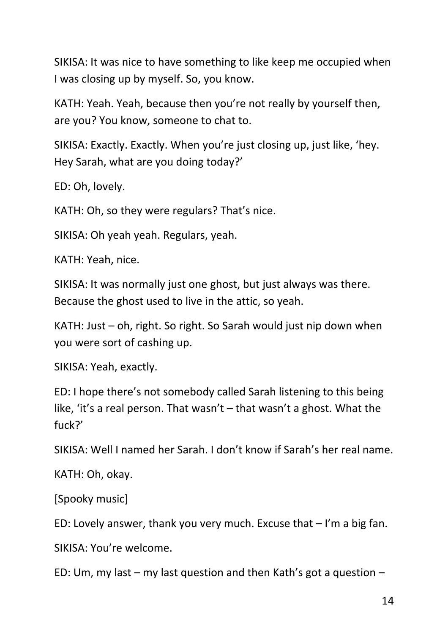SIKISA: It was nice to have something to like keep me occupied when I was closing up by myself. So, you know.

KATH: Yeah. Yeah, because then you're not really by yourself then, are you? You know, someone to chat to.

SIKISA: Exactly. Exactly. When you're just closing up, just like, 'hey. Hey Sarah, what are you doing today?'

ED: Oh, lovely.

KATH: Oh, so they were regulars? That's nice.

SIKISA: Oh yeah yeah. Regulars, yeah.

KATH: Yeah, nice.

SIKISA: It was normally just one ghost, but just always was there. Because the ghost used to live in the attic, so yeah.

KATH: Just – oh, right. So right. So Sarah would just nip down when you were sort of cashing up.

SIKISA: Yeah, exactly.

ED: I hope there's not somebody called Sarah listening to this being like, 'it's a real person. That wasn't – that wasn't a ghost. What the fuck?'

SIKISA: Well I named her Sarah. I don't know if Sarah's her real name.

KATH: Oh, okay.

[Spooky music]

ED: Lovely answer, thank you very much. Excuse that  $-1$ 'm a big fan.

SIKISA: You're welcome.

ED: Um, my last – my last question and then Kath's got a question –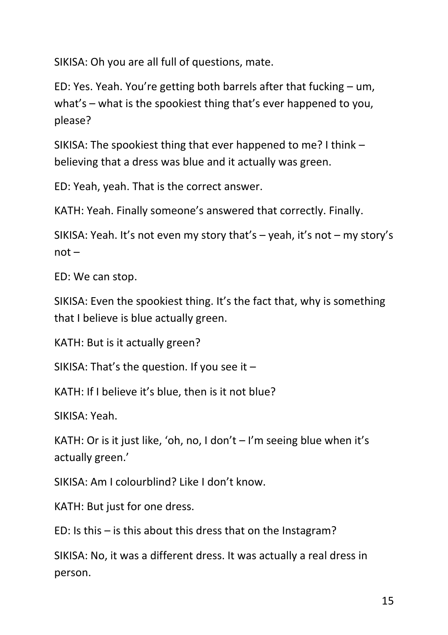SIKISA: Oh you are all full of questions, mate.

ED: Yes. Yeah. You're getting both barrels after that fucking – um, what's – what is the spookiest thing that's ever happened to you, please?

SIKISA: The spookiest thing that ever happened to me? I think – believing that a dress was blue and it actually was green.

ED: Yeah, yeah. That is the correct answer.

KATH: Yeah. Finally someone's answered that correctly. Finally.

SIKISA: Yeah. It's not even my story that's – yeah, it's not – my story's  $not -$ 

ED: We can stop.

SIKISA: Even the spookiest thing. It's the fact that, why is something that I believe is blue actually green.

KATH: But is it actually green?

SIKISA: That's the question. If you see it –

KATH: If I believe it's blue, then is it not blue?

SIKISA: Yeah.

KATH: Or is it just like, 'oh, no, I don't  $-1$ 'm seeing blue when it's actually green.'

SIKISA: Am I colourblind? Like I don't know.

KATH: But just for one dress.

ED: Is this – is this about this dress that on the Instagram?

SIKISA: No, it was a different dress. It was actually a real dress in person.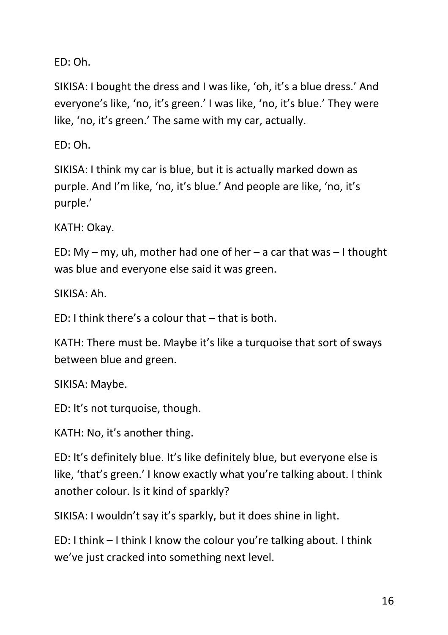ED: Oh.

SIKISA: I bought the dress and I was like, 'oh, it's a blue dress.' And everyone's like, 'no, it's green.' I was like, 'no, it's blue.' They were like, 'no, it's green.' The same with my car, actually.

ED: Oh.

SIKISA: I think my car is blue, but it is actually marked down as purple. And I'm like, 'no, it's blue.' And people are like, 'no, it's purple.'

KATH: Okay.

ED: My – my, uh, mother had one of her – a car that was – I thought was blue and everyone else said it was green.

SIKISA: Ah.

 $FD: I$  think there's a colour that – that is both.

KATH: There must be. Maybe it's like a turquoise that sort of sways between blue and green.

SIKISA: Maybe.

ED: It's not turquoise, though.

KATH: No, it's another thing.

ED: It's definitely blue. It's like definitely blue, but everyone else is like, 'that's green.' I know exactly what you're talking about. I think another colour. Is it kind of sparkly?

SIKISA: I wouldn't say it's sparkly, but it does shine in light.

ED: I think – I think I know the colour you're talking about. I think we've just cracked into something next level.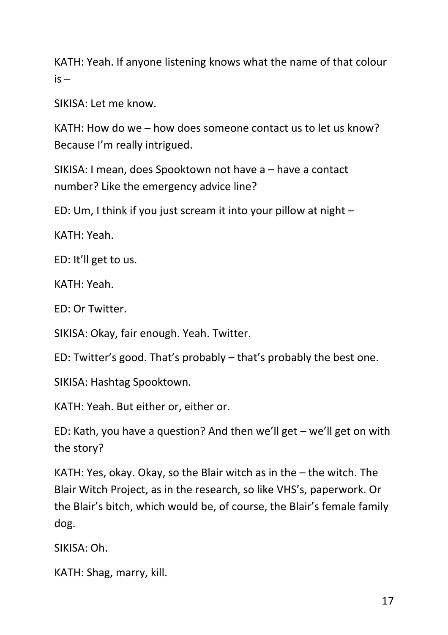KATH: Yeah. If anyone listening knows what the name of that colour  $is -$ 

SIKISA: Let me know.

KATH: How do we – how does someone contact us to let us know? Because I'm really intrigued.

SIKISA: I mean, does Spooktown not have a – have a contact number? Like the emergency advice line?

ED: Um, I think if you just scream it into your pillow at night –

KATH: Yeah.

ED: It'll get to us.

KATH: Yeah.

ED: Or Twitter.

SIKISA: Okay, fair enough. Yeah. Twitter.

ED: Twitter's good. That's probably – that's probably the best one.

SIKISA: Hashtag Spooktown.

KATH: Yeah. But either or, either or.

ED: Kath, you have a question? And then we'll get – we'll get on with the story?

KATH: Yes, okay. Okay, so the Blair witch as in the – the witch. The Blair Witch Project, as in the research, so like VHS's, paperwork. Or the Blair's bitch, which would be, of course, the Blair's female family dog.

SIKISA: Oh.

KATH: Shag, marry, kill.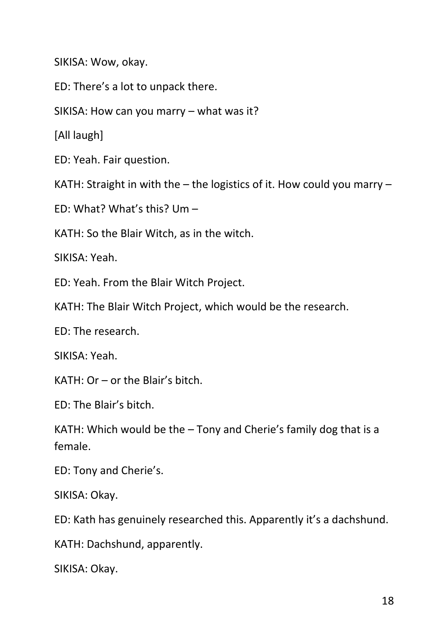SIKISA: Wow, okay.

ED: There's a lot to unpack there.

SIKISA: How can you marry – what was it?

[All laugh]

ED: Yeah. Fair question.

KATH: Straight in with the – the logistics of it. How could you marry –

ED: What? What's this? Um –

KATH: So the Blair Witch, as in the witch.

SIKISA: Yeah.

ED: Yeah. From the Blair Witch Project.

KATH: The Blair Witch Project, which would be the research.

ED: The research.

SIKISA: Yeah.

KATH: Or – or the Blair's bitch.

ED: The Blair's bitch.

KATH: Which would be the – Tony and Cherie's family dog that is a female.

ED: Tony and Cherie's.

SIKISA: Okay.

ED: Kath has genuinely researched this. Apparently it's a dachshund.

KATH: Dachshund, apparently.

SIKISA: Okay.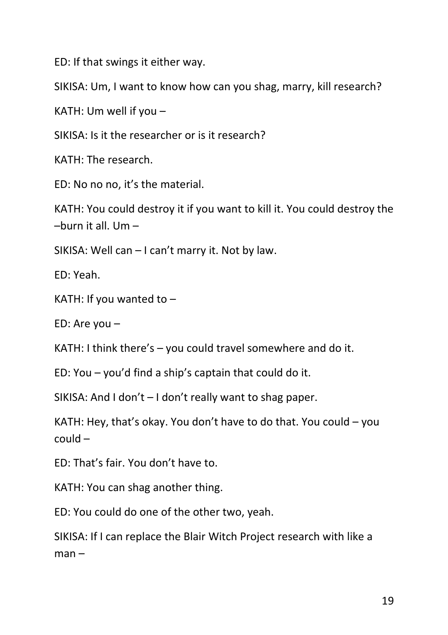ED: If that swings it either way.

SIKISA: Um, I want to know how can you shag, marry, kill research?

KATH: Um well if you –

SIKISA: Is it the researcher or is it research?

KATH: The research.

ED: No no no, it's the material.

KATH: You could destroy it if you want to kill it. You could destroy the –burn it all. Um –

SIKISA: Well can – I can't marry it. Not by law.

ED: Yeah.

KATH: If you wanted to –

ED: Are you –

KATH: I think there's – you could travel somewhere and do it.

ED: You – you'd find a ship's captain that could do it.

SIKISA: And I don't – I don't really want to shag paper.

KATH: Hey, that's okay. You don't have to do that. You could – you could –

ED: That's fair. You don't have to.

KATH: You can shag another thing.

ED: You could do one of the other two, yeah.

SIKISA: If I can replace the Blair Witch Project research with like a  $man -$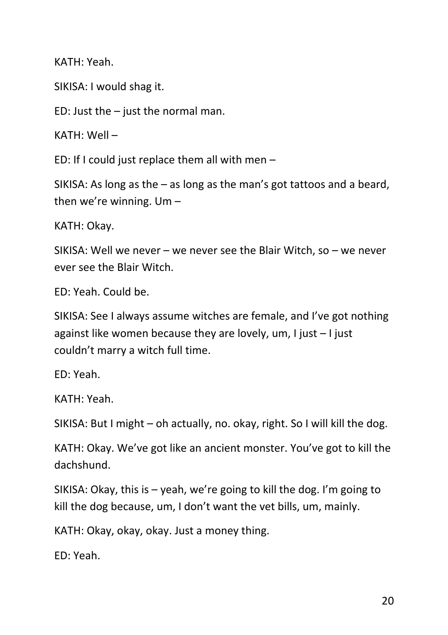KATH: Yeah.

SIKISA: I would shag it.

ED: Just the  $-$  just the normal man.

KATH: Well –

ED: If I could just replace them all with men –

SIKISA: As long as the – as long as the man's got tattoos and a beard, then we're winning. Um –

KATH: Okay.

SIKISA: Well we never – we never see the Blair Witch, so – we never ever see the Blair Witch.

ED: Yeah. Could be.

SIKISA: See I always assume witches are female, and I've got nothing against like women because they are lovely, um, I just – I just couldn't marry a witch full time.

ED: Yeah.

KATH: Yeah.

SIKISA: But I might – oh actually, no. okay, right. So I will kill the dog.

KATH: Okay. We've got like an ancient monster. You've got to kill the dachshund.

SIKISA: Okay, this is – yeah, we're going to kill the dog. I'm going to kill the dog because, um, I don't want the vet bills, um, mainly.

KATH: Okay, okay, okay. Just a money thing.

ED: Yeah.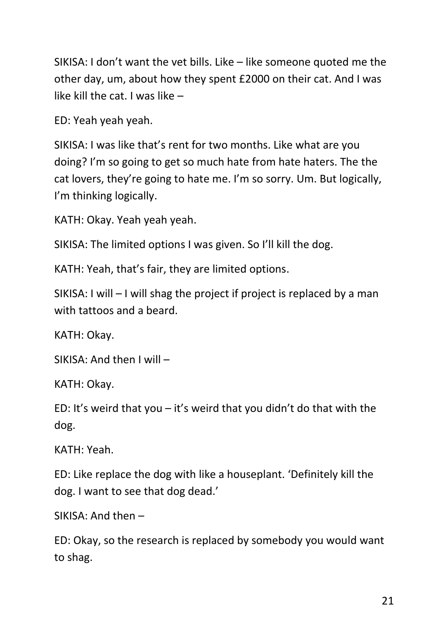SIKISA: I don't want the vet bills. Like – like someone quoted me the other day, um, about how they spent £2000 on their cat. And I was like kill the cat. I was like –

ED: Yeah yeah yeah.

SIKISA: I was like that's rent for two months. Like what are you doing? I'm so going to get so much hate from hate haters. The the cat lovers, they're going to hate me. I'm so sorry. Um. But logically, I'm thinking logically.

KATH: Okay. Yeah yeah yeah.

SIKISA: The limited options I was given. So I'll kill the dog.

KATH: Yeah, that's fair, they are limited options.

SIKISA: I will – I will shag the project if project is replaced by a man with tattoos and a beard.

KATH: Okay.

SIKISA: And then I will –

KATH: Okay.

ED: It's weird that you – it's weird that you didn't do that with the dog.

KATH: Yeah.

ED: Like replace the dog with like a houseplant. 'Definitely kill the dog. I want to see that dog dead.'

SIKISA: And then –

ED: Okay, so the research is replaced by somebody you would want to shag.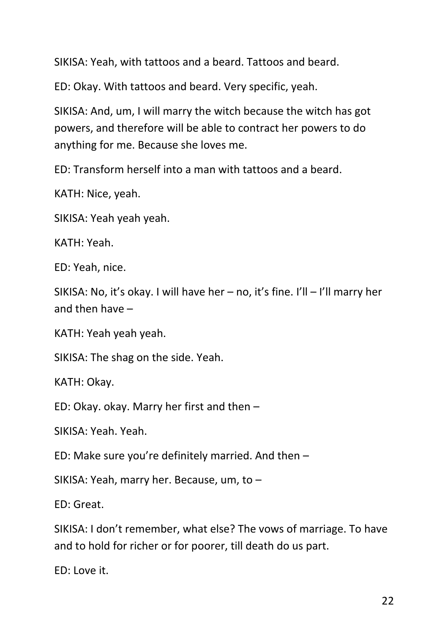SIKISA: Yeah, with tattoos and a beard. Tattoos and beard.

ED: Okay. With tattoos and beard. Very specific, yeah.

SIKISA: And, um, I will marry the witch because the witch has got powers, and therefore will be able to contract her powers to do anything for me. Because she loves me.

ED: Transform herself into a man with tattoos and a beard.

KATH: Nice, yeah.

SIKISA: Yeah yeah yeah.

KATH: Yeah.

ED: Yeah, nice.

SIKISA: No, it's okay. I will have her – no, it's fine. I'll – I'll marry her and then have –

KATH: Yeah yeah yeah.

SIKISA: The shag on the side. Yeah.

KATH: Okay.

ED: Okay. okay. Marry her first and then –

SIKISA: Yeah. Yeah.

ED: Make sure you're definitely married. And then –

SIKISA: Yeah, marry her. Because, um, to –

ED: Great.

SIKISA: I don't remember, what else? The vows of marriage. To have and to hold for richer or for poorer, till death do us part.

ED: Love it.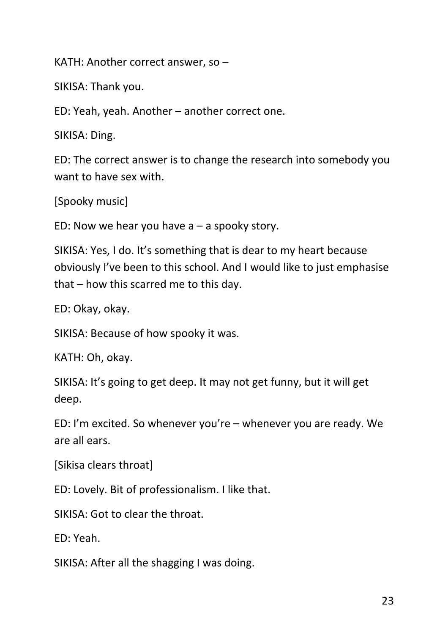KATH: Another correct answer, so –

SIKISA: Thank you.

ED: Yeah, yeah. Another – another correct one.

SIKISA: Ding.

ED: The correct answer is to change the research into somebody you want to have sex with.

[Spooky music]

ED: Now we hear you have  $a - a$  spooky story.

SIKISA: Yes, I do. It's something that is dear to my heart because obviously I've been to this school. And I would like to just emphasise that – how this scarred me to this day.

ED: Okay, okay.

SIKISA: Because of how spooky it was.

KATH: Oh, okay.

SIKISA: It's going to get deep. It may not get funny, but it will get deep.

ED: I'm excited. So whenever you're – whenever you are ready. We are all ears.

[Sikisa clears throat]

ED: Lovely. Bit of professionalism. I like that.

SIKISA: Got to clear the throat.

ED: Yeah.

SIKISA: After all the shagging I was doing.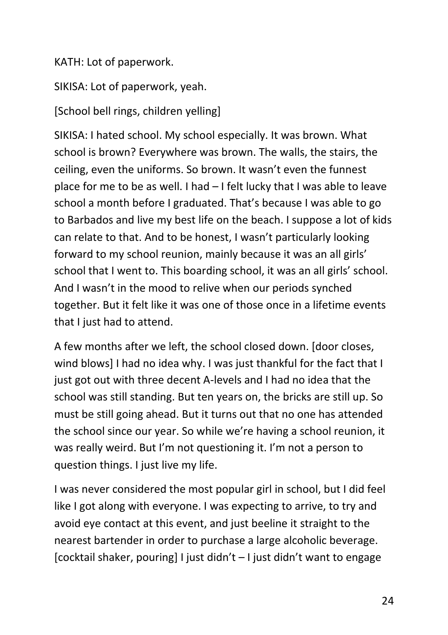## KATH: Lot of paperwork.

SIKISA: Lot of paperwork, yeah.

[School bell rings, children yelling]

SIKISA: I hated school. My school especially. It was brown. What school is brown? Everywhere was brown. The walls, the stairs, the ceiling, even the uniforms. So brown. It wasn't even the funnest place for me to be as well. I had – I felt lucky that I was able to leave school a month before I graduated. That's because I was able to go to Barbados and live my best life on the beach. I suppose a lot of kids can relate to that. And to be honest, I wasn't particularly looking forward to my school reunion, mainly because it was an all girls' school that I went to. This boarding school, it was an all girls' school. And I wasn't in the mood to relive when our periods synched together. But it felt like it was one of those once in a lifetime events that I just had to attend.

A few months after we left, the school closed down. [door closes, wind blows] I had no idea why. I was just thankful for the fact that I just got out with three decent A-levels and I had no idea that the school was still standing. But ten years on, the bricks are still up. So must be still going ahead. But it turns out that no one has attended the school since our year. So while we're having a school reunion, it was really weird. But I'm not questioning it. I'm not a person to question things. I just live my life.

I was never considered the most popular girl in school, but I did feel like I got along with everyone. I was expecting to arrive, to try and avoid eye contact at this event, and just beeline it straight to the nearest bartender in order to purchase a large alcoholic beverage. [cocktail shaker, pouring] I just didn't – I just didn't want to engage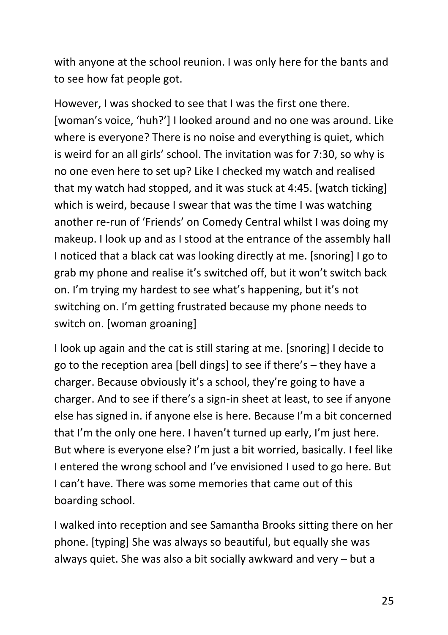with anyone at the school reunion. I was only here for the bants and to see how fat people got.

However, I was shocked to see that I was the first one there. [woman's voice, 'huh?'] I looked around and no one was around. Like where is everyone? There is no noise and everything is quiet, which is weird for an all girls' school. The invitation was for 7:30, so why is no one even here to set up? Like I checked my watch and realised that my watch had stopped, and it was stuck at 4:45. [watch ticking] which is weird, because I swear that was the time I was watching another re-run of 'Friends' on Comedy Central whilst I was doing my makeup. I look up and as I stood at the entrance of the assembly hall I noticed that a black cat was looking directly at me. [snoring] I go to grab my phone and realise it's switched off, but it won't switch back on. I'm trying my hardest to see what's happening, but it's not switching on. I'm getting frustrated because my phone needs to switch on. [woman groaning]

I look up again and the cat is still staring at me. [snoring] I decide to go to the reception area [bell dings] to see if there's – they have a charger. Because obviously it's a school, they're going to have a charger. And to see if there's a sign-in sheet at least, to see if anyone else has signed in. if anyone else is here. Because I'm a bit concerned that I'm the only one here. I haven't turned up early, I'm just here. But where is everyone else? I'm just a bit worried, basically. I feel like I entered the wrong school and I've envisioned I used to go here. But I can't have. There was some memories that came out of this boarding school.

I walked into reception and see Samantha Brooks sitting there on her phone. [typing] She was always so beautiful, but equally she was always quiet. She was also a bit socially awkward and very – but a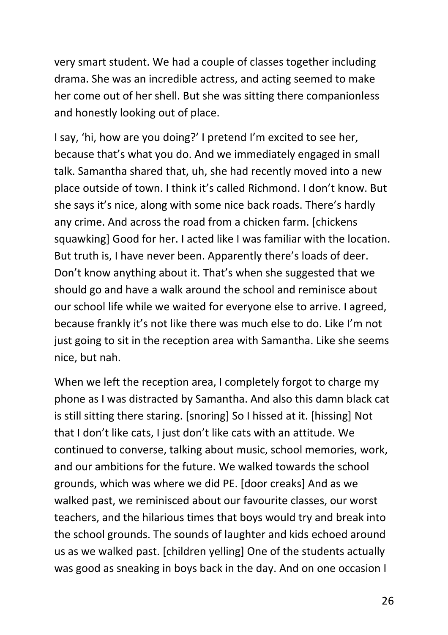very smart student. We had a couple of classes together including drama. She was an incredible actress, and acting seemed to make her come out of her shell. But she was sitting there companionless and honestly looking out of place.

I say, 'hi, how are you doing?' I pretend I'm excited to see her, because that's what you do. And we immediately engaged in small talk. Samantha shared that, uh, she had recently moved into a new place outside of town. I think it's called Richmond. I don't know. But she says it's nice, along with some nice back roads. There's hardly any crime. And across the road from a chicken farm. [chickens squawking] Good for her. I acted like I was familiar with the location. But truth is, I have never been. Apparently there's loads of deer. Don't know anything about it. That's when she suggested that we should go and have a walk around the school and reminisce about our school life while we waited for everyone else to arrive. I agreed, because frankly it's not like there was much else to do. Like I'm not just going to sit in the reception area with Samantha. Like she seems nice, but nah.

When we left the reception area, I completely forgot to charge my phone as I was distracted by Samantha. And also this damn black cat is still sitting there staring. [snoring] So I hissed at it. [hissing] Not that I don't like cats, I just don't like cats with an attitude. We continued to converse, talking about music, school memories, work, and our ambitions for the future. We walked towards the school grounds, which was where we did PE. [door creaks] And as we walked past, we reminisced about our favourite classes, our worst teachers, and the hilarious times that boys would try and break into the school grounds. The sounds of laughter and kids echoed around us as we walked past. [children yelling] One of the students actually was good as sneaking in boys back in the day. And on one occasion I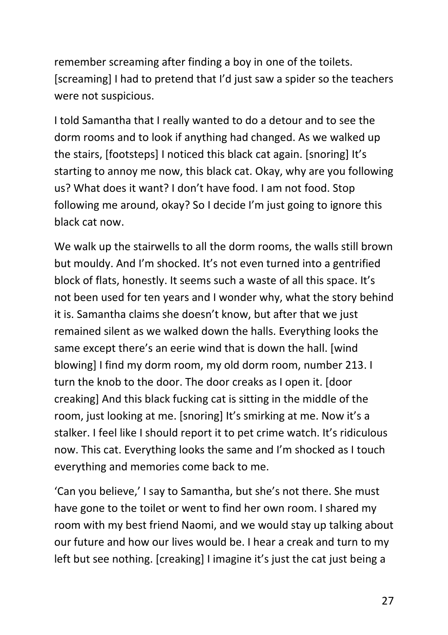remember screaming after finding a boy in one of the toilets. [screaming] I had to pretend that I'd just saw a spider so the teachers were not suspicious.

I told Samantha that I really wanted to do a detour and to see the dorm rooms and to look if anything had changed. As we walked up the stairs, [footsteps] I noticed this black cat again. [snoring] It's starting to annoy me now, this black cat. Okay, why are you following us? What does it want? I don't have food. I am not food. Stop following me around, okay? So I decide I'm just going to ignore this black cat now.

We walk up the stairwells to all the dorm rooms, the walls still brown but mouldy. And I'm shocked. It's not even turned into a gentrified block of flats, honestly. It seems such a waste of all this space. It's not been used for ten years and I wonder why, what the story behind it is. Samantha claims she doesn't know, but after that we just remained silent as we walked down the halls. Everything looks the same except there's an eerie wind that is down the hall. [wind blowing] I find my dorm room, my old dorm room, number 213. I turn the knob to the door. The door creaks as I open it. [door creaking] And this black fucking cat is sitting in the middle of the room, just looking at me. [snoring] It's smirking at me. Now it's a stalker. I feel like I should report it to pet crime watch. It's ridiculous now. This cat. Everything looks the same and I'm shocked as I touch everything and memories come back to me.

'Can you believe,' I say to Samantha, but she's not there. She must have gone to the toilet or went to find her own room. I shared my room with my best friend Naomi, and we would stay up talking about our future and how our lives would be. I hear a creak and turn to my left but see nothing. [creaking] I imagine it's just the cat just being a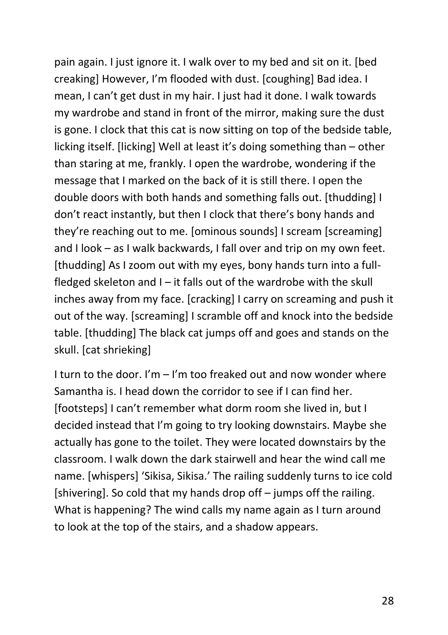pain again. I just ignore it. I walk over to my bed and sit on it. [bed creaking] However, I'm flooded with dust. [coughing] Bad idea. I mean, I can't get dust in my hair. I just had it done. I walk towards my wardrobe and stand in front of the mirror, making sure the dust is gone. I clock that this cat is now sitting on top of the bedside table, licking itself. [licking] Well at least it's doing something than – other than staring at me, frankly. I open the wardrobe, wondering if the message that I marked on the back of it is still there. I open the double doors with both hands and something falls out. [thudding] I don't react instantly, but then I clock that there's bony hands and they're reaching out to me. [ominous sounds] I scream [screaming] and I look – as I walk backwards, I fall over and trip on my own feet. [thudding] As I zoom out with my eyes, bony hands turn into a fullfledged skeleton and  $I - it$  falls out of the wardrobe with the skull inches away from my face. [cracking] I carry on screaming and push it out of the way. [screaming] I scramble off and knock into the bedside table. [thudding] The black cat jumps off and goes and stands on the skull. [cat shrieking]

I turn to the door. I'm – I'm too freaked out and now wonder where Samantha is. I head down the corridor to see if I can find her. [footsteps] I can't remember what dorm room she lived in, but I decided instead that I'm going to try looking downstairs. Maybe she actually has gone to the toilet. They were located downstairs by the classroom. I walk down the dark stairwell and hear the wind call me name. [whispers] 'Sikisa, Sikisa.' The railing suddenly turns to ice cold [shivering]. So cold that my hands drop off – jumps off the railing. What is happening? The wind calls my name again as I turn around to look at the top of the stairs, and a shadow appears.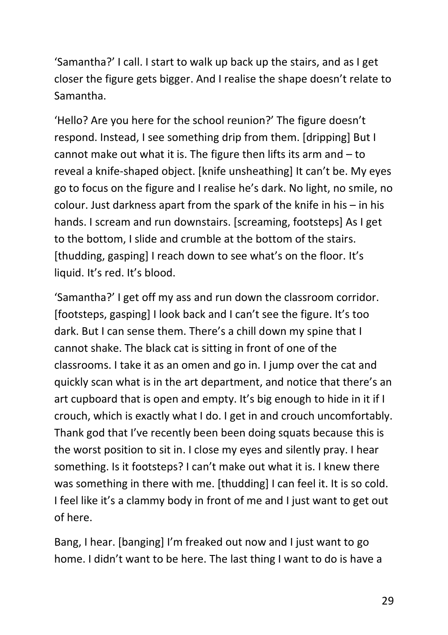'Samantha?' I call. I start to walk up back up the stairs, and as I get closer the figure gets bigger. And I realise the shape doesn't relate to Samantha.

'Hello? Are you here for the school reunion?' The figure doesn't respond. Instead, I see something drip from them. [dripping] But I cannot make out what it is. The figure then lifts its arm and – to reveal a knife-shaped object. [knife unsheathing] It can't be. My eyes go to focus on the figure and I realise he's dark. No light, no smile, no colour. Just darkness apart from the spark of the knife in his – in his hands. I scream and run downstairs. [screaming, footsteps] As I get to the bottom, I slide and crumble at the bottom of the stairs. [thudding, gasping] I reach down to see what's on the floor. It's liquid. It's red. It's blood.

'Samantha?' I get off my ass and run down the classroom corridor. [footsteps, gasping] I look back and I can't see the figure. It's too dark. But I can sense them. There's a chill down my spine that I cannot shake. The black cat is sitting in front of one of the classrooms. I take it as an omen and go in. I jump over the cat and quickly scan what is in the art department, and notice that there's an art cupboard that is open and empty. It's big enough to hide in it if I crouch, which is exactly what I do. I get in and crouch uncomfortably. Thank god that I've recently been been doing squats because this is the worst position to sit in. I close my eyes and silently pray. I hear something. Is it footsteps? I can't make out what it is. I knew there was something in there with me. [thudding] I can feel it. It is so cold. I feel like it's a clammy body in front of me and I just want to get out of here.

Bang, I hear. [banging] I'm freaked out now and I just want to go home. I didn't want to be here. The last thing I want to do is have a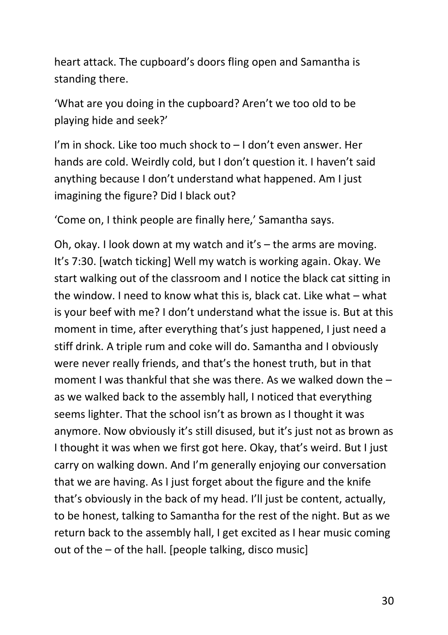heart attack. The cupboard's doors fling open and Samantha is standing there.

'What are you doing in the cupboard? Aren't we too old to be playing hide and seek?'

I'm in shock. Like too much shock to – I don't even answer. Her hands are cold. Weirdly cold, but I don't question it. I haven't said anything because I don't understand what happened. Am I just imagining the figure? Did I black out?

'Come on, I think people are finally here,' Samantha says.

Oh, okay. I look down at my watch and it's – the arms are moving. It's 7:30. [watch ticking] Well my watch is working again. Okay. We start walking out of the classroom and I notice the black cat sitting in the window. I need to know what this is, black cat. Like what – what is your beef with me? I don't understand what the issue is. But at this moment in time, after everything that's just happened, I just need a stiff drink. A triple rum and coke will do. Samantha and I obviously were never really friends, and that's the honest truth, but in that moment I was thankful that she was there. As we walked down the – as we walked back to the assembly hall, I noticed that everything seems lighter. That the school isn't as brown as I thought it was anymore. Now obviously it's still disused, but it's just not as brown as I thought it was when we first got here. Okay, that's weird. But I just carry on walking down. And I'm generally enjoying our conversation that we are having. As I just forget about the figure and the knife that's obviously in the back of my head. I'll just be content, actually, to be honest, talking to Samantha for the rest of the night. But as we return back to the assembly hall, I get excited as I hear music coming out of the – of the hall. [people talking, disco music]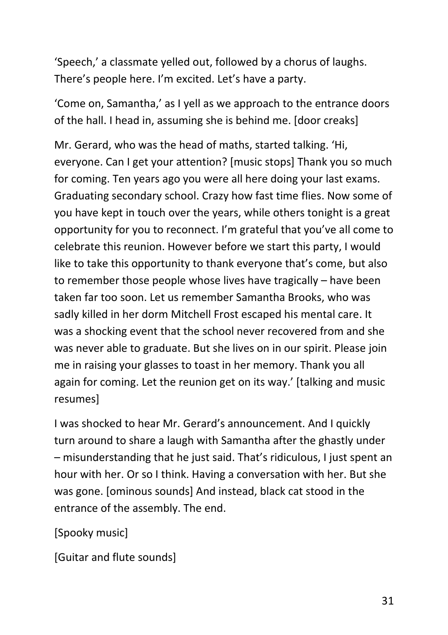'Speech,' a classmate yelled out, followed by a chorus of laughs. There's people here. I'm excited. Let's have a party.

'Come on, Samantha,' as I yell as we approach to the entrance doors of the hall. I head in, assuming she is behind me. [door creaks]

Mr. Gerard, who was the head of maths, started talking. 'Hi, everyone. Can I get your attention? [music stops] Thank you so much for coming. Ten years ago you were all here doing your last exams. Graduating secondary school. Crazy how fast time flies. Now some of you have kept in touch over the years, while others tonight is a great opportunity for you to reconnect. I'm grateful that you've all come to celebrate this reunion. However before we start this party, I would like to take this opportunity to thank everyone that's come, but also to remember those people whose lives have tragically – have been taken far too soon. Let us remember Samantha Brooks, who was sadly killed in her dorm Mitchell Frost escaped his mental care. It was a shocking event that the school never recovered from and she was never able to graduate. But she lives on in our spirit. Please join me in raising your glasses to toast in her memory. Thank you all again for coming. Let the reunion get on its way.' [talking and music resumes]

I was shocked to hear Mr. Gerard's announcement. And I quickly turn around to share a laugh with Samantha after the ghastly under – misunderstanding that he just said. That's ridiculous, I just spent an hour with her. Or so I think. Having a conversation with her. But she was gone. [ominous sounds] And instead, black cat stood in the entrance of the assembly. The end.

[Spooky music]

[Guitar and flute sounds]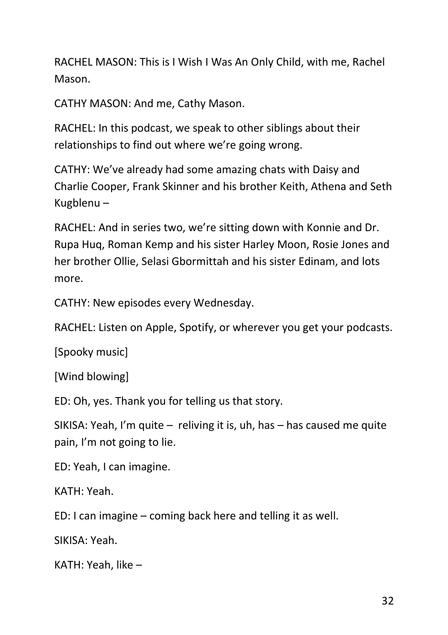RACHEL MASON: This is I Wish I Was An Only Child, with me, Rachel Mason.

CATHY MASON: And me, Cathy Mason.

RACHEL: In this podcast, we speak to other siblings about their relationships to find out where we're going wrong.

CATHY: We've already had some amazing chats with Daisy and Charlie Cooper, Frank Skinner and his brother Keith, Athena and Seth Kugblenu –

RACHEL: And in series two, we're sitting down with Konnie and Dr. Rupa Huq, Roman Kemp and his sister Harley Moon, Rosie Jones and her brother Ollie, Selasi Gbormittah and his sister Edinam, and lots more.

CATHY: New episodes every Wednesday.

RACHEL: Listen on Apple, Spotify, or wherever you get your podcasts.

[Spooky music]

[Wind blowing]

ED: Oh, yes. Thank you for telling us that story.

SIKISA: Yeah, I'm quite – reliving it is, uh, has – has caused me quite pain, I'm not going to lie.

ED: Yeah, I can imagine.

KATH: Yeah.

ED: I can imagine – coming back here and telling it as well.

SIKISA: Yeah.

KATH: Yeah, like –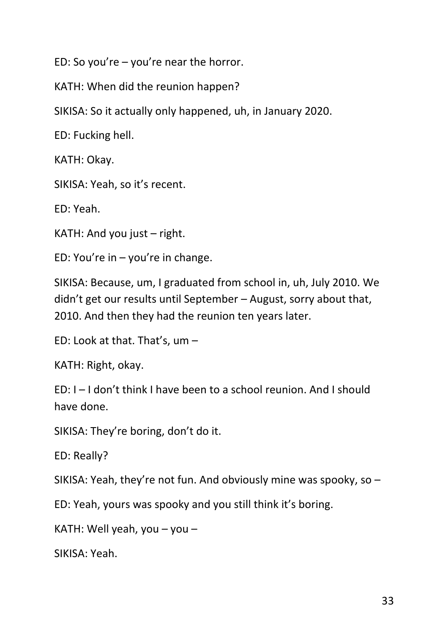ED: So you're – you're near the horror.

KATH: When did the reunion happen?

SIKISA: So it actually only happened, uh, in January 2020.

ED: Fucking hell.

KATH: Okay.

SIKISA: Yeah, so it's recent.

ED: Yeah.

KATH: And you just – right.

ED: You're in – you're in change.

SIKISA: Because, um, I graduated from school in, uh, July 2010. We didn't get our results until September – August, sorry about that, 2010. And then they had the reunion ten years later.

ED: Look at that. That's, um –

KATH: Right, okay.

ED: I – I don't think I have been to a school reunion. And I should have done.

SIKISA: They're boring, don't do it.

ED: Really?

SIKISA: Yeah, they're not fun. And obviously mine was spooky, so –

ED: Yeah, yours was spooky and you still think it's boring.

KATH: Well yeah, you – you –

SIKISA: Yeah.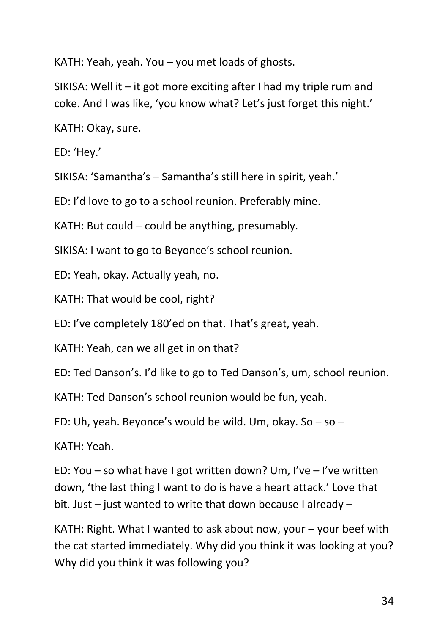KATH: Yeah, yeah. You – you met loads of ghosts.

SIKISA: Well it – it got more exciting after I had my triple rum and coke. And I was like, 'you know what? Let's just forget this night.'

KATH: Okay, sure.

ED: 'Hey.'

SIKISA: 'Samantha's – Samantha's still here in spirit, yeah.'

ED: I'd love to go to a school reunion. Preferably mine.

KATH: But could – could be anything, presumably.

SIKISA: I want to go to Beyonce's school reunion.

ED: Yeah, okay. Actually yeah, no.

KATH: That would be cool, right?

ED: I've completely 180'ed on that. That's great, yeah.

KATH: Yeah, can we all get in on that?

ED: Ted Danson's. I'd like to go to Ted Danson's, um, school reunion.

KATH: Ted Danson's school reunion would be fun, yeah.

ED: Uh, yeah. Beyonce's would be wild. Um, okay. So – so –

KATH: Yeah.

ED: You – so what have I got written down? Um, I've – I've written down, 'the last thing I want to do is have a heart attack.' Love that bit. Just – just wanted to write that down because I already –

KATH: Right. What I wanted to ask about now, your  $-$  your beef with the cat started immediately. Why did you think it was looking at you? Why did you think it was following you?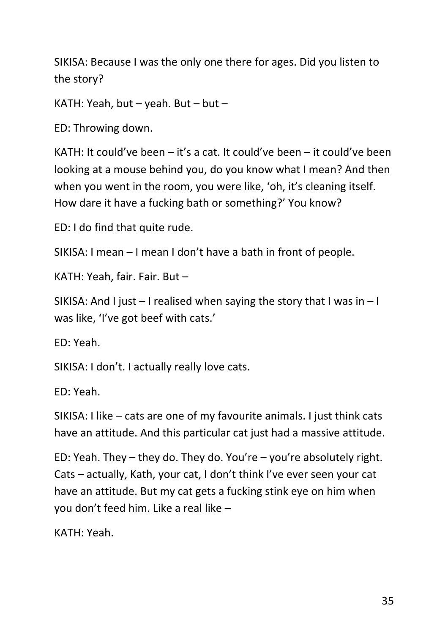SIKISA: Because I was the only one there for ages. Did you listen to the story?

KATH: Yeah, but – yeah. But – but –

ED: Throwing down.

KATH: It could've been – it's a cat. It could've been – it could've been looking at a mouse behind you, do you know what I mean? And then when you went in the room, you were like, 'oh, it's cleaning itself. How dare it have a fucking bath or something?' You know?

ED: I do find that quite rude.

SIKISA: I mean – I mean I don't have a bath in front of people.

KATH: Yeah, fair. Fair. But –

SIKISA: And I just – I realised when saying the story that I was in – I was like, 'I've got beef with cats.'

ED: Yeah.

SIKISA: I don't. I actually really love cats.

ED: Yeah.

SIKISA: I like – cats are one of my favourite animals. I just think cats have an attitude. And this particular cat just had a massive attitude.

ED: Yeah. They – they do. They do. You're – you're absolutely right. Cats – actually, Kath, your cat, I don't think I've ever seen your cat have an attitude. But my cat gets a fucking stink eye on him when you don't feed him. Like a real like –

KATH: Yeah.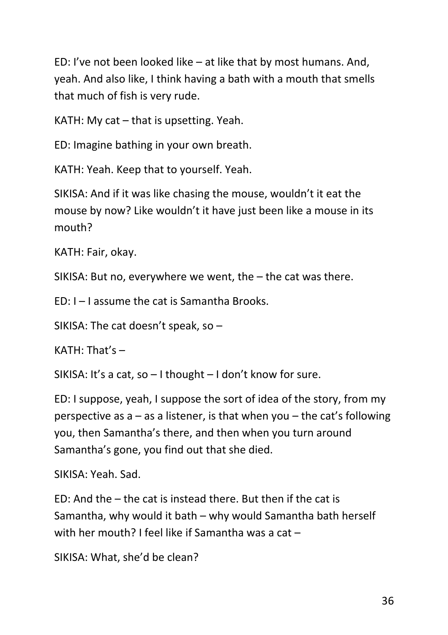ED: I've not been looked like – at like that by most humans. And, yeah. And also like, I think having a bath with a mouth that smells that much of fish is very rude.

KATH: My cat – that is upsetting. Yeah.

ED: Imagine bathing in your own breath.

KATH: Yeah. Keep that to yourself. Yeah.

SIKISA: And if it was like chasing the mouse, wouldn't it eat the mouse by now? Like wouldn't it have just been like a mouse in its mouth?

KATH: Fair, okay.

SIKISA: But no, everywhere we went, the – the cat was there.

ED: I – I assume the cat is Samantha Brooks.

SIKISA: The cat doesn't speak, so –

 $KATH: That's -$ 

SIKISA: It's a cat, so – I thought – I don't know for sure.

ED: I suppose, yeah, I suppose the sort of idea of the story, from my perspective as  $a - as a$  listener, is that when you  $-$  the cat's following you, then Samantha's there, and then when you turn around Samantha's gone, you find out that she died.

SIKISA: Yeah. Sad.

ED: And the – the cat is instead there. But then if the cat is Samantha, why would it bath – why would Samantha bath herself with her mouth? I feel like if Samantha was a cat –

SIKISA: What, she'd be clean?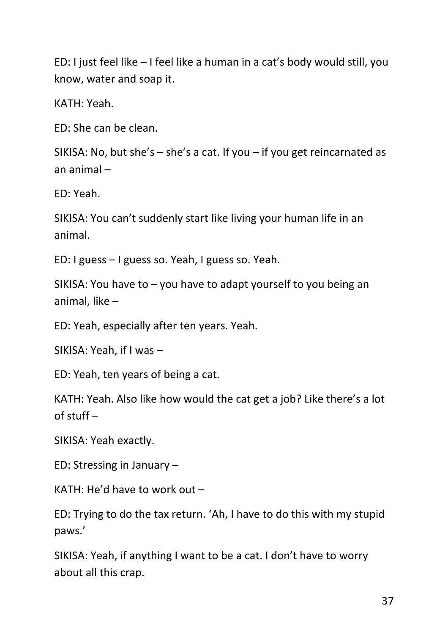ED: I just feel like – I feel like a human in a cat's body would still, you know, water and soap it.

KATH: Yeah.

ED: She can be clean.

SIKISA: No, but she's – she's a cat. If you – if you get reincarnated as an animal –

ED: Yeah.

SIKISA: You can't suddenly start like living your human life in an animal.

ED: I guess – I guess so. Yeah, I guess so. Yeah.

SIKISA: You have to – you have to adapt yourself to you being an animal, like –

ED: Yeah, especially after ten years. Yeah.

SIKISA: Yeah, if I was –

ED: Yeah, ten years of being a cat.

KATH: Yeah. Also like how would the cat get a job? Like there's a lot of stuff  $-$ 

SIKISA: Yeah exactly.

ED: Stressing in January –

KATH: He'd have to work out –

ED: Trying to do the tax return. 'Ah, I have to do this with my stupid paws.'

SIKISA: Yeah, if anything I want to be a cat. I don't have to worry about all this crap.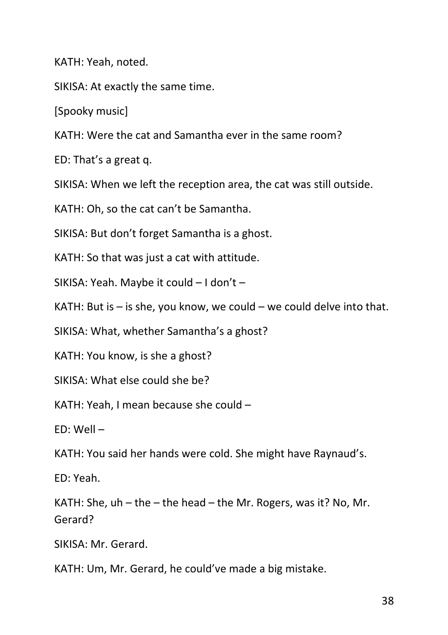KATH: Yeah, noted.

SIKISA: At exactly the same time.

[Spooky music]

KATH: Were the cat and Samantha ever in the same room?

ED: That's a great q.

SIKISA: When we left the reception area, the cat was still outside.

KATH: Oh, so the cat can't be Samantha.

SIKISA: But don't forget Samantha is a ghost.

KATH: So that was just a cat with attitude.

SIKISA: Yeah. Maybe it could – I don't –

KATH: But is  $-$  is she, you know, we could  $-$  we could delve into that.

SIKISA: What, whether Samantha's a ghost?

KATH: You know, is she a ghost?

SIKISA: What else could she be?

KATH: Yeah, I mean because she could –

ED: Well –

KATH: You said her hands were cold. She might have Raynaud's.

ED: Yeah.

KATH: She,  $uh$  – the – the head – the Mr. Rogers, was it? No, Mr. Gerard?

SIKISA: Mr. Gerard.

KATH: Um, Mr. Gerard, he could've made a big mistake.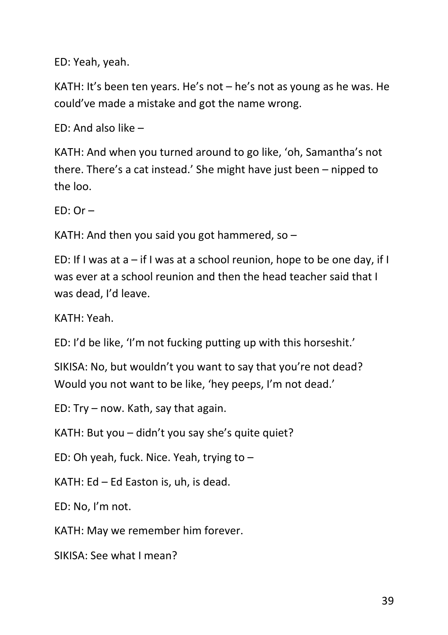ED: Yeah, yeah.

KATH: It's been ten years. He's not – he's not as young as he was. He could've made a mistake and got the name wrong.

ED: And also like –

KATH: And when you turned around to go like, 'oh, Samantha's not there. There's a cat instead.' She might have just been – nipped to the loo.

 $FD: Or -$ 

KATH: And then you said you got hammered, so  $-$ 

ED: If I was at a – if I was at a school reunion, hope to be one day, if I was ever at a school reunion and then the head teacher said that I was dead, I'd leave.

KATH: Yeah.

ED: I'd be like, 'I'm not fucking putting up with this horseshit.'

SIKISA: No, but wouldn't you want to say that you're not dead? Would you not want to be like, 'hey peeps, I'm not dead.'

ED: Try – now. Kath, say that again.

KATH: But you – didn't you say she's quite quiet?

ED: Oh yeah, fuck. Nice. Yeah, trying to –

KATH: Ed – Ed Easton is, uh, is dead.

ED: No, I'm not.

KATH: May we remember him forever.

SIKISA: See what I mean?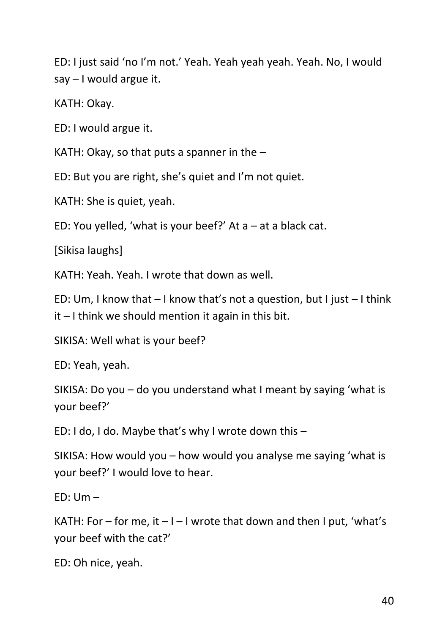ED: I just said 'no I'm not.' Yeah. Yeah yeah yeah. Yeah. No, I would say – I would argue it.

KATH: Okay.

ED: I would argue it.

KATH: Okay, so that puts a spanner in the  $-$ 

ED: But you are right, she's quiet and I'm not quiet.

KATH: She is quiet, yeah.

ED: You yelled, 'what is your beef?' At  $a - at a$  black cat.

[Sikisa laughs]

KATH: Yeah. Yeah. I wrote that down as well.

ED: Um, I know that – I know that's not a question, but I just – I think  $it$  – I think we should mention it again in this bit.

SIKISA: Well what is your beef?

ED: Yeah, yeah.

SIKISA: Do you – do you understand what I meant by saying 'what is your beef?'

ED: I do, I do. Maybe that's why I wrote down this –

SIKISA: How would you – how would you analyse me saying 'what is your beef?' I would love to hear.

 $FD: Um -$ 

KATH: For – for me, it  $-1$  – I wrote that down and then I put, 'what's your beef with the cat?'

ED: Oh nice, yeah.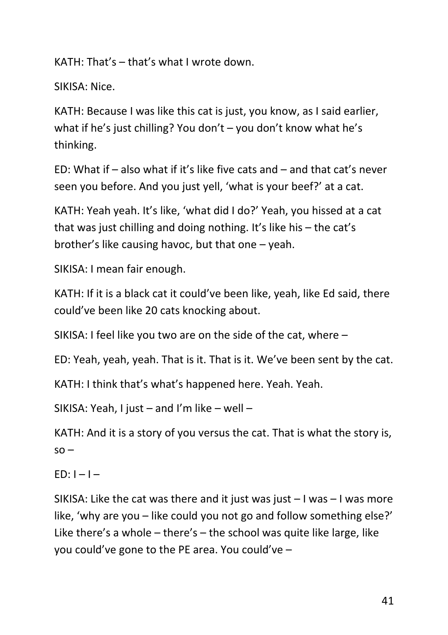KATH: That's – that's what I wrote down.

SIKISA: Nice.

KATH: Because I was like this cat is just, you know, as I said earlier, what if he's just chilling? You don't – you don't know what he's thinking.

ED: What if – also what if it's like five cats and – and that cat's never seen you before. And you just yell, 'what is your beef?' at a cat.

KATH: Yeah yeah. It's like, 'what did I do?' Yeah, you hissed at a cat that was just chilling and doing nothing. It's like his – the cat's brother's like causing havoc, but that one – yeah.

SIKISA: I mean fair enough.

KATH: If it is a black cat it could've been like, yeah, like Ed said, there could've been like 20 cats knocking about.

SIKISA: I feel like you two are on the side of the cat, where –

ED: Yeah, yeah, yeah. That is it. That is it. We've been sent by the cat.

KATH: I think that's what's happened here. Yeah. Yeah.

SIKISA: Yeah, I just – and I'm like – well –

KATH: And it is a story of you versus the cat. That is what the story is,  $SO -$ 

 $FD: I - I -$ 

SIKISA: Like the cat was there and it just was just  $-1$  was  $-1$  was more like, 'why are you – like could you not go and follow something else?' Like there's a whole – there's – the school was quite like large, like you could've gone to the PE area. You could've –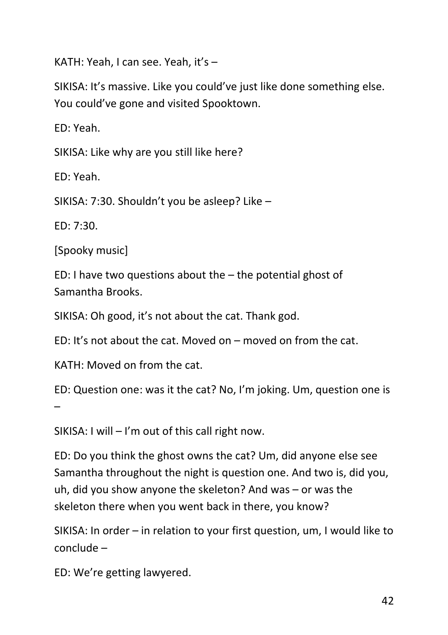KATH: Yeah, I can see. Yeah, it's –

SIKISA: It's massive. Like you could've just like done something else. You could've gone and visited Spooktown.

ED: Yeah.

SIKISA: Like why are you still like here?

ED: Yeah.

SIKISA: 7:30. Shouldn't you be asleep? Like –

ED: 7:30.

[Spooky music]

ED: I have two questions about the  $-$  the potential ghost of Samantha Brooks.

SIKISA: Oh good, it's not about the cat. Thank god.

ED: It's not about the cat. Moved on – moved on from the cat.

KATH: Moved on from the cat.

ED: Question one: was it the cat? No, I'm joking. Um, question one is –

SIKISA: I will – I'm out of this call right now.

ED: Do you think the ghost owns the cat? Um, did anyone else see Samantha throughout the night is question one. And two is, did you, uh, did you show anyone the skeleton? And was – or was the skeleton there when you went back in there, you know?

SIKISA: In order – in relation to your first question, um, I would like to conclude –

ED: We're getting lawyered.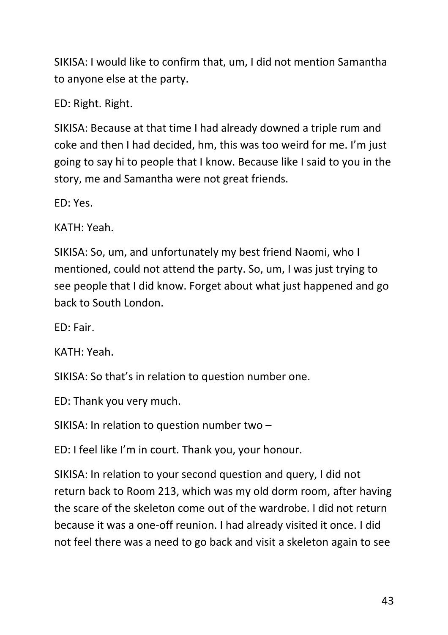SIKISA: I would like to confirm that, um, I did not mention Samantha to anyone else at the party.

ED: Right. Right.

SIKISA: Because at that time I had already downed a triple rum and coke and then I had decided, hm, this was too weird for me. I'm just going to say hi to people that I know. Because like I said to you in the story, me and Samantha were not great friends.

ED: Yes.

KATH: Yeah.

SIKISA: So, um, and unfortunately my best friend Naomi, who I mentioned, could not attend the party. So, um, I was just trying to see people that I did know. Forget about what just happened and go back to South London.

ED: Fair.

KATH: Yeah.

SIKISA: So that's in relation to question number one.

ED: Thank you very much.

SIKISA: In relation to question number two –

ED: I feel like I'm in court. Thank you, your honour.

SIKISA: In relation to your second question and query, I did not return back to Room 213, which was my old dorm room, after having the scare of the skeleton come out of the wardrobe. I did not return because it was a one-off reunion. I had already visited it once. I did not feel there was a need to go back and visit a skeleton again to see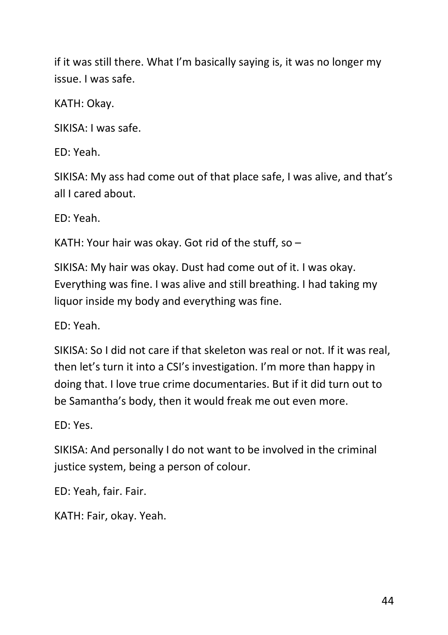if it was still there. What I'm basically saying is, it was no longer my issue. I was safe.

KATH: Okay.

SIKISA: I was safe.

ED: Yeah.

SIKISA: My ass had come out of that place safe, I was alive, and that's all I cared about.

ED: Yeah.

KATH: Your hair was okay. Got rid of the stuff, so –

SIKISA: My hair was okay. Dust had come out of it. I was okay. Everything was fine. I was alive and still breathing. I had taking my liquor inside my body and everything was fine.

ED: Yeah.

SIKISA: So I did not care if that skeleton was real or not. If it was real, then let's turn it into a CSI's investigation. I'm more than happy in doing that. I love true crime documentaries. But if it did turn out to be Samantha's body, then it would freak me out even more.

ED: Yes.

SIKISA: And personally I do not want to be involved in the criminal justice system, being a person of colour.

ED: Yeah, fair. Fair.

KATH: Fair, okay. Yeah.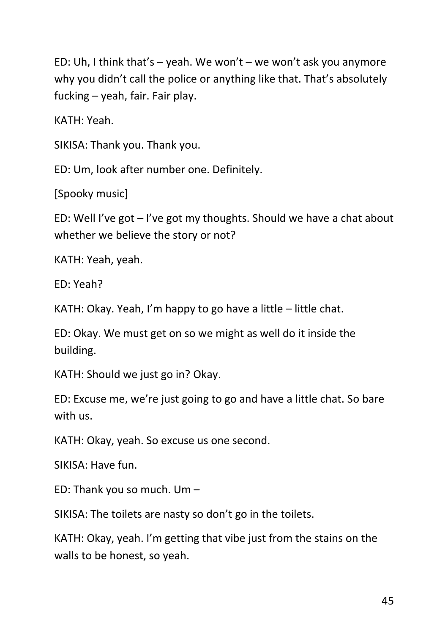ED: Uh, I think that's – yeah. We won't – we won't ask you anymore why you didn't call the police or anything like that. That's absolutely fucking – yeah, fair. Fair play.

KATH: Yeah.

SIKISA: Thank you. Thank you.

ED: Um, look after number one. Definitely.

[Spooky music]

ED: Well I've got – I've got my thoughts. Should we have a chat about whether we believe the story or not?

KATH: Yeah, yeah.

ED: Yeah?

KATH: Okay. Yeah, I'm happy to go have a little – little chat.

ED: Okay. We must get on so we might as well do it inside the building.

KATH: Should we just go in? Okay.

ED: Excuse me, we're just going to go and have a little chat. So bare with us.

KATH: Okay, yeah. So excuse us one second.

SIKISA: Have fun.

ED: Thank you so much. Um –

SIKISA: The toilets are nasty so don't go in the toilets.

KATH: Okay, yeah. I'm getting that vibe just from the stains on the walls to be honest, so yeah.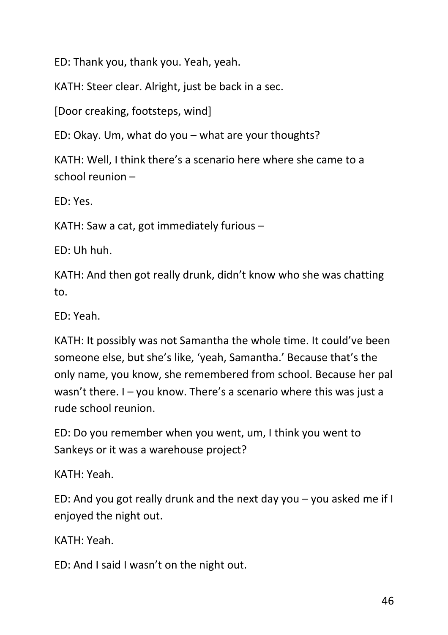ED: Thank you, thank you. Yeah, yeah.

KATH: Steer clear. Alright, just be back in a sec.

[Door creaking, footsteps, wind]

ED: Okay. Um, what do you – what are your thoughts?

KATH: Well, I think there's a scenario here where she came to a school reunion –

ED: Yes.

KATH: Saw a cat, got immediately furious –

ED: Uh huh.

KATH: And then got really drunk, didn't know who she was chatting to.

ED: Yeah.

KATH: It possibly was not Samantha the whole time. It could've been someone else, but she's like, 'yeah, Samantha.' Because that's the only name, you know, she remembered from school. Because her pal wasn't there. I – you know. There's a scenario where this was just a rude school reunion.

ED: Do you remember when you went, um, I think you went to Sankeys or it was a warehouse project?

KATH: Yeah.

ED: And you got really drunk and the next day you – you asked me if I enjoyed the night out.

KATH: Yeah.

ED: And I said I wasn't on the night out.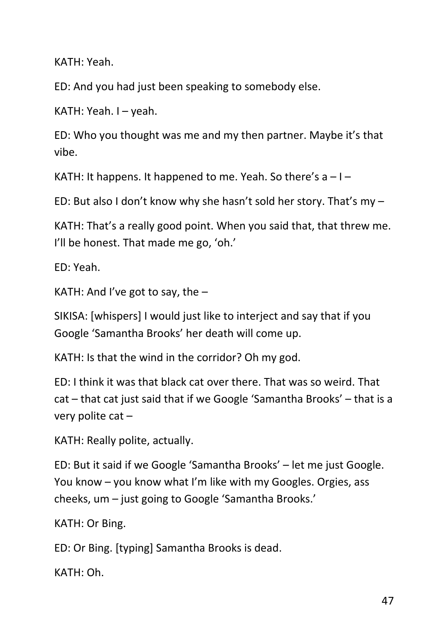KATH: Yeah.

ED: And you had just been speaking to somebody else.

KATH: Yeah. I – yeah.

ED: Who you thought was me and my then partner. Maybe it's that vibe.

KATH: It happens. It happened to me. Yeah. So there's  $a - 1 -$ 

ED: But also I don't know why she hasn't sold her story. That's my –

KATH: That's a really good point. When you said that, that threw me. I'll be honest. That made me go, 'oh.'

ED: Yeah.

KATH: And I've got to say, the  $-$ 

SIKISA: [whispers] I would just like to interject and say that if you Google 'Samantha Brooks' her death will come up.

KATH: Is that the wind in the corridor? Oh my god.

ED: I think it was that black cat over there. That was so weird. That cat – that cat just said that if we Google 'Samantha Brooks' – that is a very polite cat  $-$ 

KATH: Really polite, actually.

ED: But it said if we Google 'Samantha Brooks' – let me just Google. You know – you know what I'm like with my Googles. Orgies, ass cheeks, um – just going to Google 'Samantha Brooks.'

KATH: Or Bing.

ED: Or Bing. [typing] Samantha Brooks is dead.

KATH: Oh.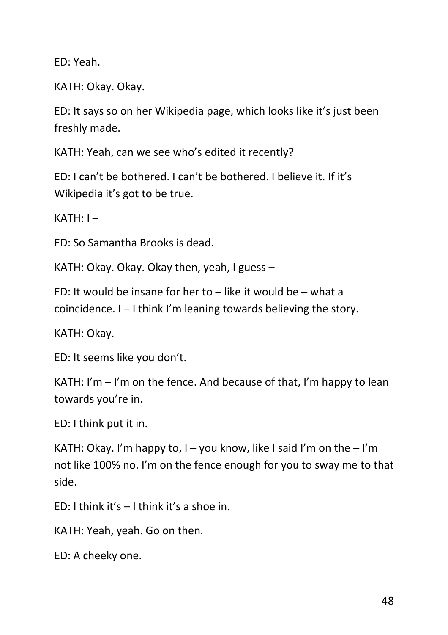ED: Yeah.

KATH: Okay. Okay.

ED: It says so on her Wikipedia page, which looks like it's just been freshly made.

KATH: Yeah, can we see who's edited it recently?

ED: I can't be bothered. I can't be bothered. I believe it. If it's Wikipedia it's got to be true.

 $KATH: I -$ 

ED: So Samantha Brooks is dead.

KATH: Okay. Okay. Okay then, yeah, I guess –

ED: It would be insane for her to  $-$  like it would be  $-$  what a coincidence. I – I think I'm leaning towards believing the story.

KATH: Okay.

ED: It seems like you don't.

KATH: I'm – I'm on the fence. And because of that, I'm happy to lean towards you're in.

ED: I think put it in.

KATH: Okay. I'm happy to, I – you know, like I said I'm on the  $-1'm$ not like 100% no. I'm on the fence enough for you to sway me to that side.

ED: I think it's – I think it's a shoe in.

KATH: Yeah, yeah. Go on then.

ED: A cheeky one.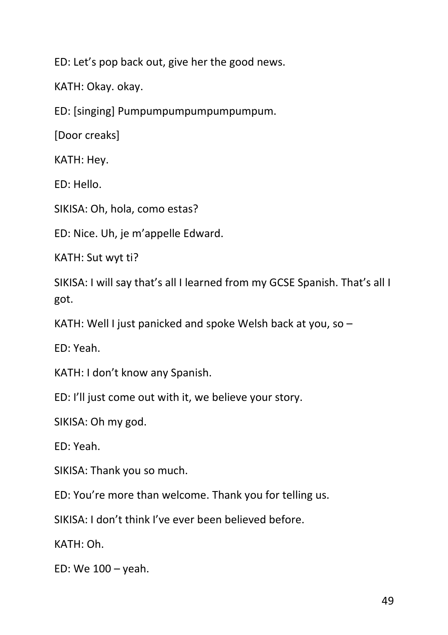ED: Let's pop back out, give her the good news.

KATH: Okay. okay.

ED: [singing] Pumpumpumpumpumpumpum.

[Door creaks]

KATH: Hey.

ED: Hello.

SIKISA: Oh, hola, como estas?

ED: Nice. Uh, je m'appelle Edward.

KATH: Sut wyt ti?

SIKISA: I will say that's all I learned from my GCSE Spanish. That's all I got.

KATH: Well I just panicked and spoke Welsh back at you, so –

ED: Yeah.

KATH: I don't know any Spanish.

ED: I'll just come out with it, we believe your story.

SIKISA: Oh my god.

ED: Yeah.

SIKISA: Thank you so much.

ED: You're more than welcome. Thank you for telling us.

SIKISA: I don't think I've ever been believed before.

KATH: Oh.

ED: We 100 – yeah.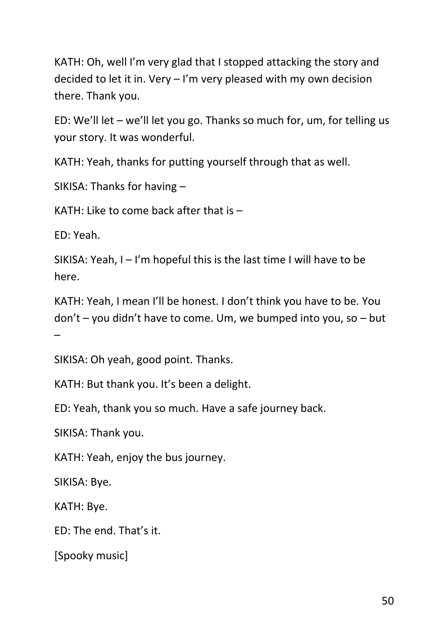KATH: Oh, well I'm very glad that I stopped attacking the story and decided to let it in. Very – I'm very pleased with my own decision there. Thank you.

ED: We'll let – we'll let you go. Thanks so much for, um, for telling us your story. It was wonderful.

KATH: Yeah, thanks for putting yourself through that as well.

SIKISA: Thanks for having –

KATH: Like to come back after that is –

ED: Yeah.

SIKISA: Yeah, I – I'm hopeful this is the last time I will have to be here.

KATH: Yeah, I mean I'll be honest. I don't think you have to be. You don't – you didn't have to come. Um, we bumped into you, so – but –

SIKISA: Oh yeah, good point. Thanks.

KATH: But thank you. It's been a delight.

ED: Yeah, thank you so much. Have a safe journey back.

SIKISA: Thank you.

KATH: Yeah, enjoy the bus journey.

SIKISA: Bye.

KATH: Bye.

ED: The end. That's it.

[Spooky music]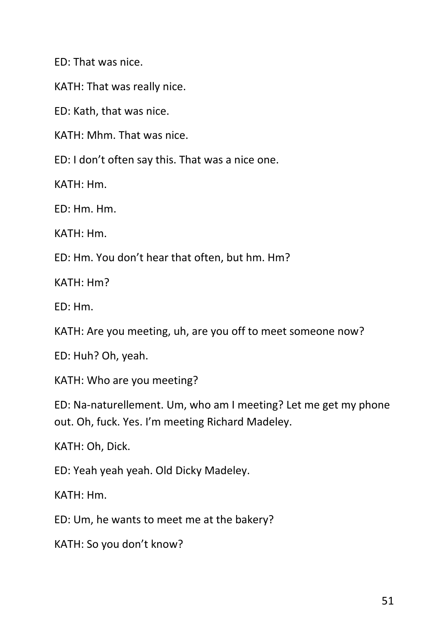ED: That was nice.

KATH: That was really nice.

ED: Kath, that was nice.

KATH: Mhm. That was nice.

ED: I don't often say this. That was a nice one.

KATH: Hm.

ED: Hm. Hm.

KATH: Hm.

ED: Hm. You don't hear that often, but hm. Hm?

KATH: Hm?

ED: Hm.

KATH: Are you meeting, uh, are you off to meet someone now?

ED: Huh? Oh, yeah.

KATH: Who are you meeting?

ED: Na-naturellement. Um, who am I meeting? Let me get my phone out. Oh, fuck. Yes. I'm meeting Richard Madeley.

KATH: Oh, Dick.

ED: Yeah yeah yeah. Old Dicky Madeley.

KATH: Hm.

ED: Um, he wants to meet me at the bakery?

KATH: So you don't know?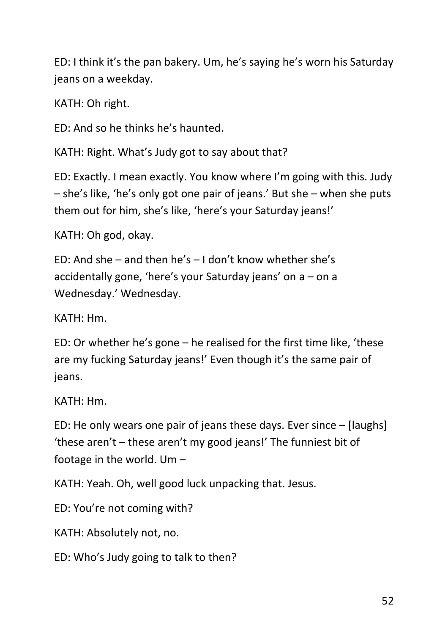ED: I think it's the pan bakery. Um, he's saying he's worn his Saturday jeans on a weekday.

KATH: Oh right.

ED: And so he thinks he's haunted.

KATH: Right. What's Judy got to say about that?

ED: Exactly. I mean exactly. You know where I'm going with this. Judy – she's like, 'he's only got one pair of jeans.' But she – when she puts them out for him, she's like, 'here's your Saturday jeans!'

KATH: Oh god, okay.

ED: And she – and then he's – I don't know whether she's accidentally gone, 'here's your Saturday jeans' on a – on a Wednesday.' Wednesday.

KATH: Hm.

ED: Or whether he's gone – he realised for the first time like, 'these are my fucking Saturday jeans!' Even though it's the same pair of jeans.

KATH: Hm.

ED: He only wears one pair of jeans these days. Ever since – [laughs] 'these aren't – these aren't my good jeans!' The funniest bit of footage in the world. Um –

KATH: Yeah. Oh, well good luck unpacking that. Jesus.

ED: You're not coming with?

KATH: Absolutely not, no.

ED: Who's Judy going to talk to then?